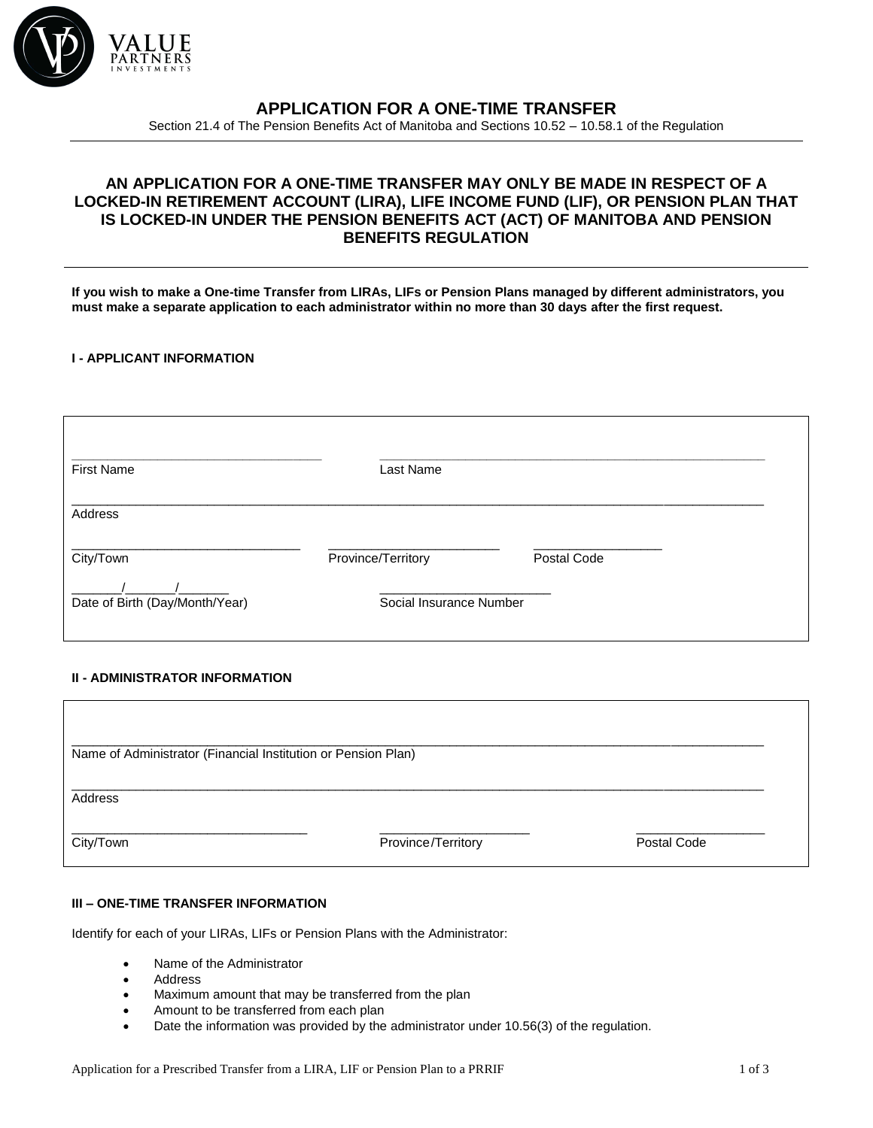

# **APPLICATION FOR A ONE-TIME TRANSFER**

Section 21.4 of The Pension Benefits Act of Manitoba and Sections 10.52 – 10.58.1 of the Regulation

## **AN APPLICATION FOR A ONE-TIME TRANSFER MAY ONLY BE MADE IN RESPECT OF A LOCKED-IN RETIREMENT ACCOUNT (LIRA), LIFE INCOME FUND (LIF), OR PENSION PLAN THAT IS LOCKED-IN UNDER THE PENSION BENEFITS ACT (ACT) OF MANITOBA AND PENSION BENEFITS REGULATION**

**If you wish to make a One-time Transfer from LIRAs, LIFs or Pension Plans managed by different administrators, you must make a separate application to each administrator within no more than 30 days after the first request.**

### **I - APPLICANT INFORMATION**

| <b>First Name</b>              | Last Name               |             |  |
|--------------------------------|-------------------------|-------------|--|
| Address                        |                         |             |  |
| City/Town                      | Province/Territory      | Postal Code |  |
| Date of Birth (Day/Month/Year) | Social Insurance Number |             |  |

## **II - ADMINISTRATOR INFORMATION**

| Name of Administrator (Financial Institution or Pension Plan) |                    |             |
|---------------------------------------------------------------|--------------------|-------------|
| Address                                                       |                    |             |
| City/Town                                                     | Province/Territory | Postal Code |

## **III – ONE-TIME TRANSFER INFORMATION**

Identify for each of your LIRAs, LIFs or Pension Plans with the Administrator:

- Name of the Administrator
- Address
- Maximum amount that may be transferred from the plan
- Amount to be transferred from each plan
- Date the information was provided by the administrator under 10.56(3) of the regulation.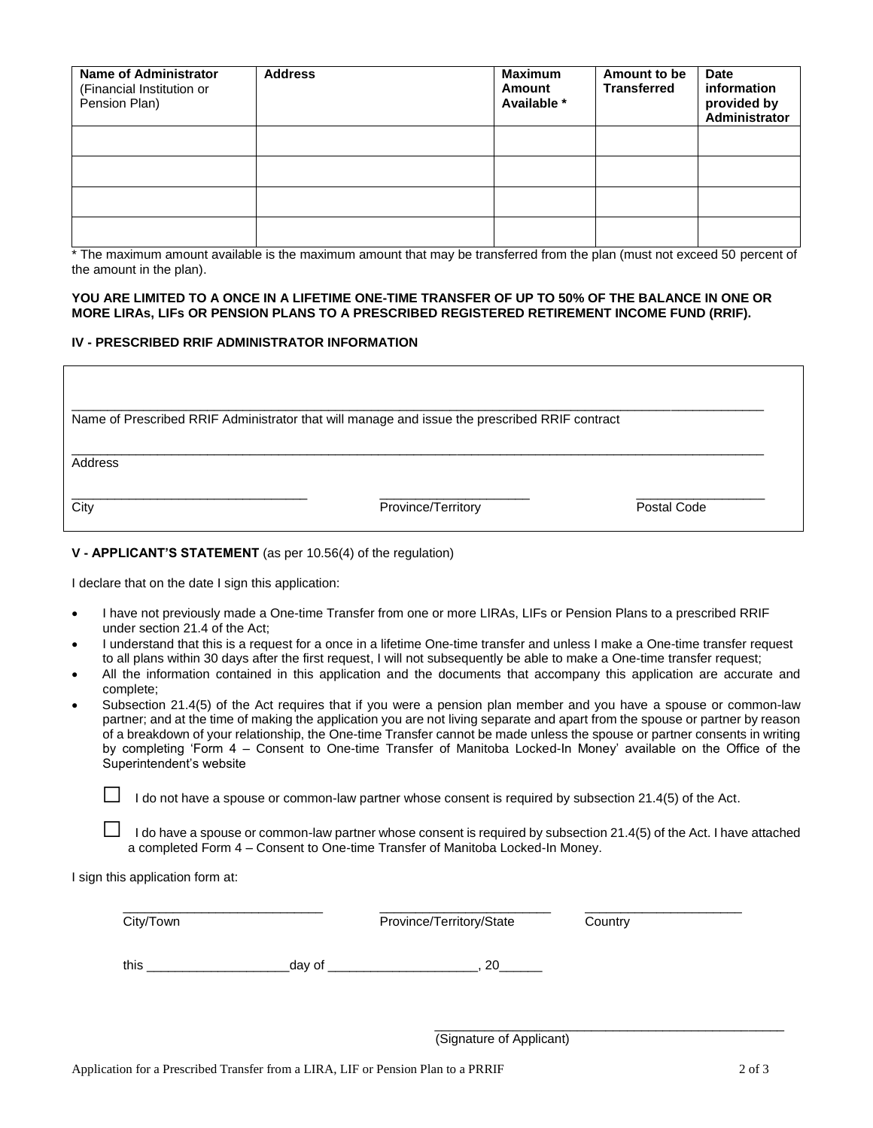| <b>Name of Administrator</b><br>(Financial Institution or<br>Pension Plan) | <b>Address</b> | <b>Maximum</b><br><b>Amount</b><br>Available * | Amount to be<br><b>Transferred</b> | <b>Date</b><br>information<br>provided by<br>Administrator |
|----------------------------------------------------------------------------|----------------|------------------------------------------------|------------------------------------|------------------------------------------------------------|
|                                                                            |                |                                                |                                    |                                                            |
|                                                                            |                |                                                |                                    |                                                            |
|                                                                            |                |                                                |                                    |                                                            |
|                                                                            |                |                                                |                                    |                                                            |

\* The maximum amount available is the maximum amount that may be transferred from the plan (must not exceed 50 percent of the amount in the plan).

### **YOU ARE LIMITED TO A ONCE IN A LIFETIME ONE-TIME TRANSFER OF UP TO 50% OF THE BALANCE IN ONE OR MORE LIRAs, LIFs OR PENSION PLANS TO A PRESCRIBED REGISTERED RETIREMENT INCOME FUND (RRIF).**

### **IV - PRESCRIBED RRIF ADMINISTRATOR INFORMATION**

|         | Name of Prescribed RRIF Administrator that will manage and issue the prescribed RRIF contract |             |
|---------|-----------------------------------------------------------------------------------------------|-------------|
| Address |                                                                                               |             |
| City    | Province/Territory                                                                            | Postal Code |

### **V - APPLICANT'S STATEMENT** (as per 10.56(4) of the regulation)

I declare that on the date I sign this application:

- I have not previously made a One-time Transfer from one or more LIRAs, LIFs or Pension Plans to a prescribed RRIF under section 21.4 of the Act;
- I understand that this is a request for a once in a lifetime One-time transfer and unless I make a One-time transfer request to all plans within 30 days after the first request, I will not subsequently be able to make a One-time transfer request;
- All the information contained in this application and the documents that accompany this application are accurate and complete;
- Subsection 21.4(5) of the Act requires that if you were a pension plan member and you have a spouse or common-law partner; and at the time of making the application you are not living separate and apart from the spouse or partner by reason of a breakdown of your relationship, the One-time Transfer cannot be made unless the spouse or partner consents in writing by completing 'Form 4 – Consent to One-time Transfer of Manitoba Locked-In Money' available on the Office of the Superintendent's website

 $\Box$  I do not have a spouse or common-law partner whose consent is required by subsection 21.4(5) of the Act.

I do have a spouse or common-law partner whose consent is required by subsection 21.4(5) of the Act. I have attached a completed Form 4 – Consent to One-time Transfer of Manitoba Locked-In Money.

I sign this application form at:

| City/Town |        | Province/Territory/State | Country |
|-----------|--------|--------------------------|---------|
| this      | day of | 20                       |         |

\_\_\_\_\_\_\_\_\_\_\_\_\_\_\_\_\_\_\_\_\_\_\_\_\_\_\_\_\_\_\_\_\_\_\_\_\_\_\_\_\_\_\_\_\_\_\_\_\_ (Signature of Applicant)